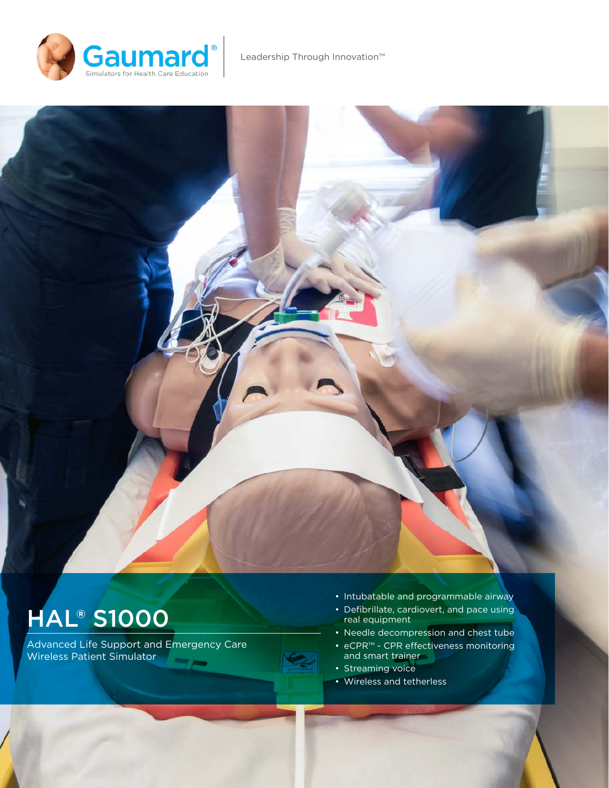

# **HAL® S1000**

Advanced Life Support and Emergency Care Wireless Patient Simulator

- Intubatable and programmable airway
- Defibrillate, cardiovert, and pace using real equipment
- Needle decompression and chest tube
- eCPR™ CPR efectiveness monitoring and smart trainer
- Streaming voice
- Wireless and tetherless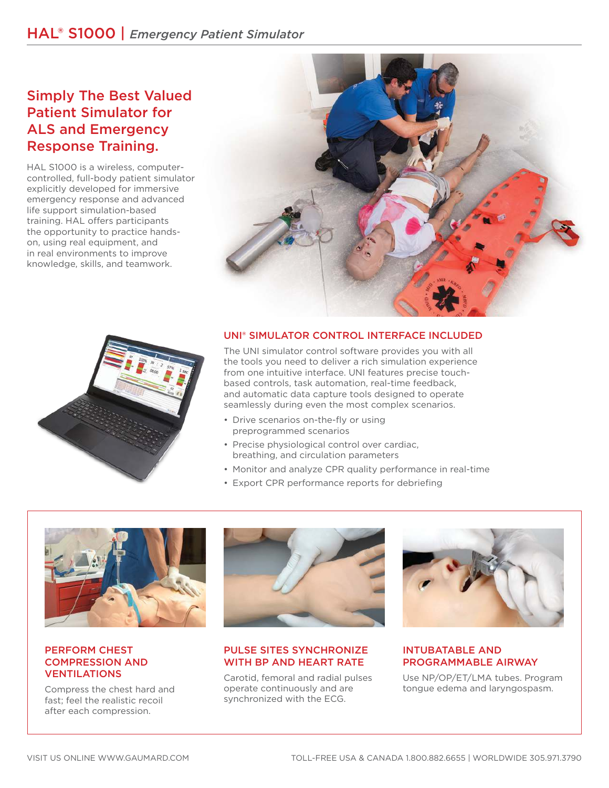## HAL® S1000 | *Emergency Patient Simulator*

## Simply The Best Valued Patient Simulator for ALS and Emergency Response Training.

HAL S1000 is a wireless, computercontrolled, full-body patient simulator explicitly developed for immersive emergency response and advanced life support simulation-based training. HAL offers participants the opportunity to practice handson, using real equipment, and in real environments to improve knowledge, skills, and teamwork.





#### UNI® SIMULATOR CONTROL INTERFACE INCLUDED

The UNI simulator control software provides you with all the tools you need to deliver a rich simulation experience from one intuitive interface. UNI features precise touchbased controls, task automation, real-time feedback, and automatic data capture tools designed to operate seamlessly during even the most complex scenarios.

- Drive scenarios on-the-fly or using preprogrammed scenarios
- Precise physiological control over cardiac, breathing, and circulation parameters
- Monitor and analyze CPR quality performance in real-time
- Export CPR performance reports for debriefing



#### PERFORM CHEST COMPRESSION AND VENTILATIONS

Compress the chest hard and fast; feel the realistic recoil after each compression.



#### PULSE SITES SYNCHRONIZE WITH BP AND HEART RATE

Carotid, femoral and radial pulses operate continuously and are synchronized with the ECG.



#### INTUBATABLE AND PROGRAMMABLE AIRWAY

Use NP/OP/ET/LMA tubes. Program tongue edema and laryngospasm.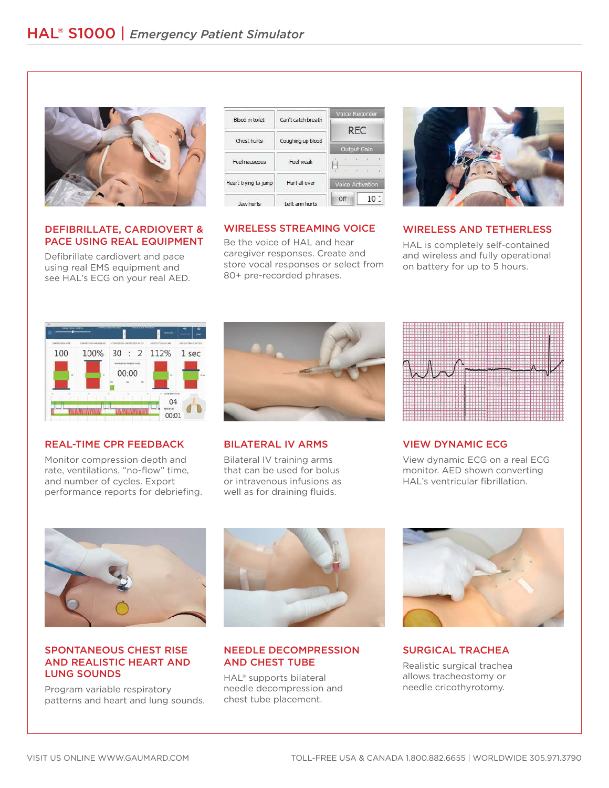

#### DEFIBRILLATE, CARDIOVERT & PACE USING REAL EQUIPMENT

Defibrillate cardiovert and pace using real EMS equipment and see HAL's ECG on your real AED.



#### WIRELESS STREAMING VOICE

Be the voice of HAL and hear caregiver responses. Create and store vocal responses or select from 80+ pre-recorded phrases.



#### WIRELESS AND TETHERLESS

HAL is completely self-contained and wireless and fully operational on battery for up to 5 hours.



#### REAL-TIME CPR FEEDBACK

Monitor compression depth and rate, ventilations, "no-flow" time, and number of cycles. Export performance reports for debriefing.



#### BILATERAL IV ARMS

Bilateral IV training arms that can be used for bolus or intravenous infusions as well as for draining fluids.



#### VIEW DYNAMIC ECG

View dynamic ECG on a real ECG monitor. AED shown converting HAL's ventricular fibrillation.



#### SPONTANEOUS CHEST RISE AND REALISTIC HEART AND LUNG SOUNDS

Program variable respiratory patterns and heart and lung sounds.



#### NEEDLE DECOMPRESSION AND CHEST TUBE

HAL® supports bilateral needle decompression and chest tube placement.



#### SURGICAL TRACHEA

Realistic surgical trachea allows tracheostomy or needle cricothyrotomy.